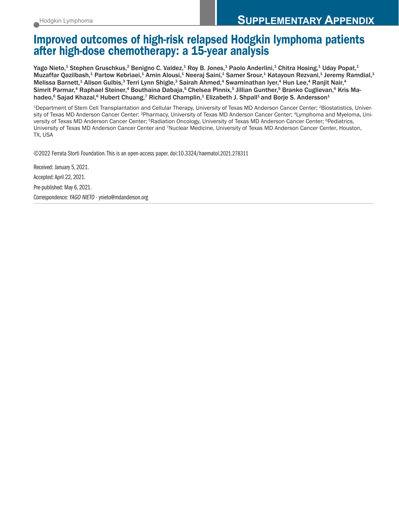## Improved outcomes of high-risk relapsed Hodgkin lymphoma patients after high-dose chemotherapy: a 15-year analysis

Yago Nieto,<sup>1</sup> Stephen Gruschkus,<sup>2</sup> Benigno C. Valdez,<sup>1</sup> Roy B. Jones,<sup>1</sup> Paolo Anderlini,<sup>1</sup> Chitra Hosing,<sup>1</sup> Uday Popat,<sup>1</sup> Muzaffar Qazilbash,<sup>1</sup> Partow Kebriaei,<sup>1</sup> Amin Alousi,<sup>1</sup> Neeraj Saini,<sup>1</sup> Samer Srour,<sup>1</sup> Katayoun Rezvani,<sup>1</sup> Jeremy Ramdial,<sup>1</sup> Melissa Barnett,<sup>1</sup> Alison Gulbis,<sup>3</sup> Terri Lynn Shigle,<sup>3</sup> Sairah Ahmed,<sup>4</sup> Swaminathan Iyer,<sup>4</sup> Hun Lee,<sup>4</sup> Ranjit Nair,<sup>4</sup> Simrit Parmar,<sup>4</sup> Raphael Steiner,<sup>4</sup> Bouthaina Dabaja,<sup>5</sup> Chelsea Pinnix,<sup>5</sup> Jillian Gunther,<sup>5</sup> Branko Cuglievan,<sup>6</sup> Kris Mahadeo,<sup>6</sup> Sajad Khazal,<sup>6</sup> Hubert Chuang,<sup>7</sup> Richard Champlin,<sup>1</sup> Elizabeth J. Shpall<sup>1</sup> and Borje S. Andersson<sup>1</sup>

<sup>1</sup>Department of Stem Cell Transplantation and Cellular Therapy, University of Texas MD Anderson Cancer Center; <sup>2</sup>Biostatistics, University of Texas MD Anderson Cancer Center; <sup>3</sup>Pharmacy, University of Texas MD Anderson Cancer Center; <sup>4</sup>Lymphoma and Myeloma, University of Texas MD Anderson Cancer Center; <sup>5</sup>Radiation Oncology, University of Texas MD Anderson Cancer Center; <sup>6</sup>Pediatrics, University of Texas MD Anderson Cancer Center and 7Nuclear Medicine, University of Texas MD Anderson Cancer Center, Houston, TX, USA

©2022 Ferrata Storti Foundation. This is an open-access paper. doi:10.3324/haematol.2021.278311

Received: January 5, 2021. Accepted: April 22, 2021. Pre-published: May 6, 2021. Correspondence: *YAGO NIETO* - ynieto@mdanderson.org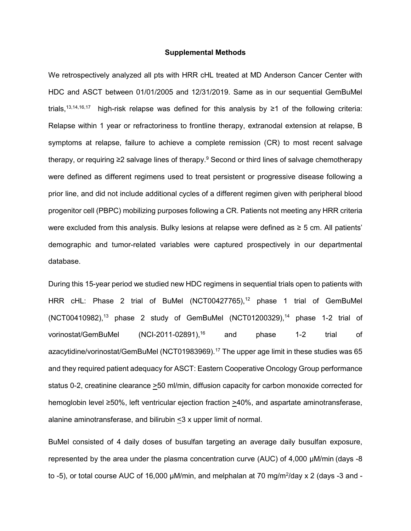## **Supplemental Methods**

We retrospectively analyzed all pts with HRR cHL treated at MD Anderson Cancer Center with HDC and ASCT between 01/01/2005 and 12/31/2019. Same as in our sequential GemBuMel trials,<sup>13,14,16,17</sup> high-risk relapse was defined for this analysis by  $\geq 1$  of the following criteria: Relapse within 1 year or refractoriness to frontline therapy, extranodal extension at relapse, B symptoms at relapse, failure to achieve a complete remission (CR) to most recent salvage therapy, or requiring  $\geq 2$  salvage lines of therapy.<sup>9</sup> Second or third lines of salvage chemotherapy were defined as different regimens used to treat persistent or progressive disease following a prior line, and did not include additional cycles of a different regimen given with peripheral blood progenitor cell (PBPC) mobilizing purposes following a CR. Patients not meeting any HRR criteria were excluded from this analysis. Bulky lesions at relapse were defined as ≥ 5 cm. All patients' demographic and tumor-related variables were captured prospectively in our departmental database.

During this 15-year period we studied new HDC regimens in sequential trials open to patients with HRR cHL: Phase 2 trial of BuMel (NCT00427765),<sup>12</sup> phase 1 trial of GemBuMel  $(NOT00410982)$ ,<sup>13</sup> phase 2 study of GemBuMel  $(NOT01200329)$ ,<sup>14</sup> phase 1-2 trial of vorinostat/GemBuMel (NCI-2011-02891),<sup>16</sup> and phase 1-2 trial of azacytidine/vorinostat/GemBuMel (NCT01983969).<sup>17</sup> The upper age limit in these studies was 65 and they required patient adequacy for ASCT: Eastern Cooperative Oncology Group performance status 0-2, creatinine clearance >50 ml/min, diffusion capacity for carbon monoxide corrected for hemoglobin level ≥50%, left ventricular ejection fraction >40%, and aspartate aminotransferase, alanine aminotransferase, and bilirubin <3 x upper limit of normal.

BuMel consisted of 4 daily doses of busulfan targeting an average daily busulfan exposure, represented by the area under the plasma concentration curve (AUC) of 4,000 μM/min (days -8 to -5), or total course AUC of 16,000 μM/min, and melphalan at 70 mg/m<sup>2</sup>/day x 2 (days -3 and -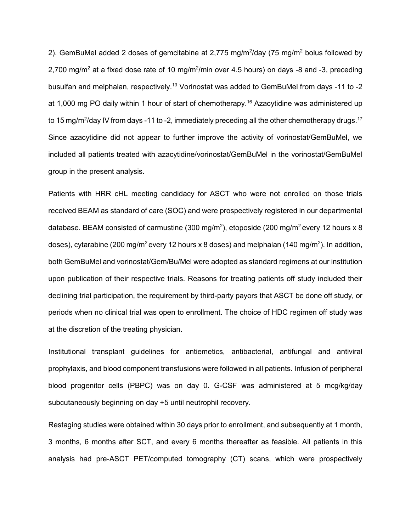2). GemBuMel added 2 doses of gemcitabine at 2,775 mg/m<sup>2</sup>/day (75 mg/m<sup>2</sup> bolus followed by 2,700 mg/m<sup>2</sup> at a fixed dose rate of 10 mg/m<sup>2</sup>/min over 4.5 hours) on days -8 and -3, preceding busulfan and melphalan, respectively.<sup>13</sup> Vorinostat was added to GemBuMel from days -11 to -2 at 1,000 mg PO daily within 1 hour of start of chemotherapy.<sup>16</sup> Azacytidine was administered up to 15 mg/m $^{2}$ /day IV from days -11 to -2, immediately preceding all the other chemotherapy drugs. $^{17}$ Since azacytidine did not appear to further improve the activity of vorinostat/GemBuMel, we included all patients treated with azacytidine/vorinostat/GemBuMel in the vorinostat/GemBuMel group in the present analysis.

Patients with HRR cHL meeting candidacy for ASCT who were not enrolled on those trials received BEAM as standard of care (SOC) and were prospectively registered in our departmental database. BEAM consisted of carmustine (300 mg/m $^2$ ), etoposide (200 mg/m $^2$ every 12 hours x 8  $\,$ doses), cytarabine (200 mg/m $^2$ every 12 hours x 8 doses) and melphalan (140 mg/m $^2$ ). In addition, both GemBuMel and vorinostat/Gem/Bu/Mel were adopted as standard regimens at our institution upon publication of their respective trials. Reasons for treating patients off study included their declining trial participation, the requirement by third-party payors that ASCT be done off study, or periods when no clinical trial was open to enrollment. The choice of HDC regimen off study was at the discretion of the treating physician.

Institutional transplant guidelines for antiemetics, antibacterial, antifungal and antiviral prophylaxis, and blood component transfusions were followed in all patients. Infusion of peripheral blood progenitor cells (PBPC) was on day 0. G-CSF was administered at 5 mcg/kg/day subcutaneously beginning on day +5 until neutrophil recovery.

Restaging studies were obtained within 30 days prior to enrollment, and subsequently at 1 month, 3 months, 6 months after SCT, and every 6 months thereafter as feasible. All patients in this analysis had pre-ASCT PET/computed tomography (CT) scans, which were prospectively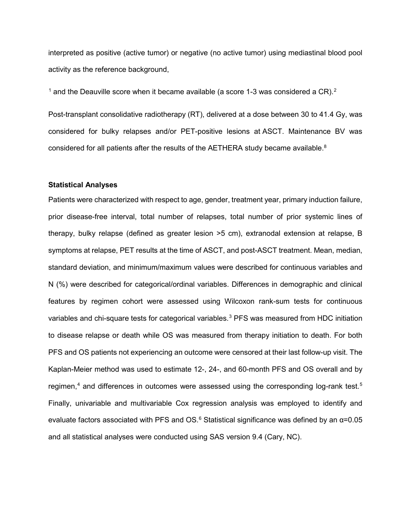interpreted as positive (active tumor) or negative (no active tumor) using mediastinal blood pool activity as the reference background,

 $1$  and the Deauville score when it became available (a score 1-3 was considered a CR).<sup>[2](#page-8-1)</sup>

Post-transplant consolidative radiotherapy (RT), delivered at a dose between 30 to 41.4 Gy, was considered for bulky relapses and/or PET-positive lesions at ASCT. Maintenance BV was considered for all patients after the results of the AETHERA study became available.<sup>8</sup>

## **Statistical Analyses**

Patients were characterized with respect to age, gender, treatment year, primary induction failure, prior disease-free interval, total number of relapses, total number of prior systemic lines of therapy, bulky relapse (defined as greater lesion >5 cm), extranodal extension at relapse, B symptoms at relapse, PET results at the time of ASCT, and post-ASCT treatment. Mean, median, standard deviation, and minimum/maximum values were described for continuous variables and N (%) were described for categorical/ordinal variables. Differences in demographic and clinical features by regimen cohort were assessed using Wilcoxon rank-sum tests for continuous variables and chi-square tests for categorical variables.<sup>[3](#page-8-2)</sup> PFS was measured from HDC initiation to disease relapse or death while OS was measured from therapy initiation to death. For both PFS and OS patients not experiencing an outcome were censored at their last follow-up visit. The Kaplan-Meier method was used to estimate 12-, 24-, and 60-month PFS and OS overall and by regimen, $4$  and differences in outcomes were assessed using the corresponding log-rank test.<sup>[5](#page-8-4)</sup> Finally, univariable and multivariable Cox regression analysis was employed to identify and evaluate factors associated with PFS and OS. $6$  Statistical significance was defined by an  $\alpha$ =0.05 and all statistical analyses were conducted using SAS version 9.4 (Cary, NC).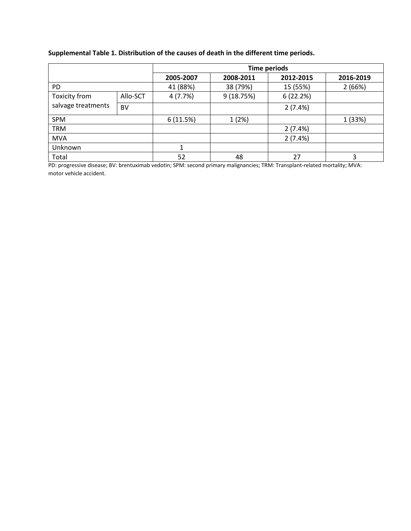| Supplemental Table 1. Distribution of the causes of death in the different time periods. |  |
|------------------------------------------------------------------------------------------|--|
|------------------------------------------------------------------------------------------|--|

|                                     |           | <b>Time periods</b> |           |           |           |
|-------------------------------------|-----------|---------------------|-----------|-----------|-----------|
|                                     |           | 2005-2007           | 2008-2011 | 2012-2015 | 2016-2019 |
| <b>PD</b>                           |           | 41 (88%)            | 38 (79%)  | 15 (55%)  | 2(66%)    |
| Toxicity from<br>salvage treatments | Allo-SCT  | 4(7.7%)             | 9(18.75%) | 6(22.2%)  |           |
|                                     | <b>BV</b> |                     |           | 2(7.4%)   |           |
| <b>SPM</b>                          |           | 6(11.5%)            | 1(2%)     |           | 1 (33%)   |
| <b>TRM</b>                          |           |                     |           | 2(7.4%)   |           |
| <b>MVA</b>                          |           |                     |           | 2(7.4%)   |           |
| Unknown                             |           | 1                   |           |           |           |
| Total                               |           | 52                  | 48        | 27        | 3         |

PD: progressive disease; BV: brentuximab vedotin; SPM: second primary malignancies; TRM: Transplant-related mortality; MVA: motor vehicle accident.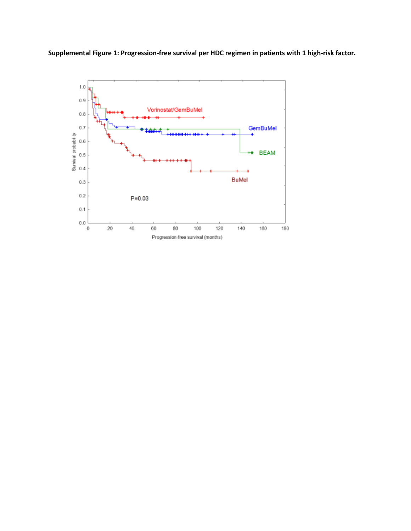**Supplemental Figure 1: Progression-free survival per HDC regimen in patients with 1 high-risk factor.** 

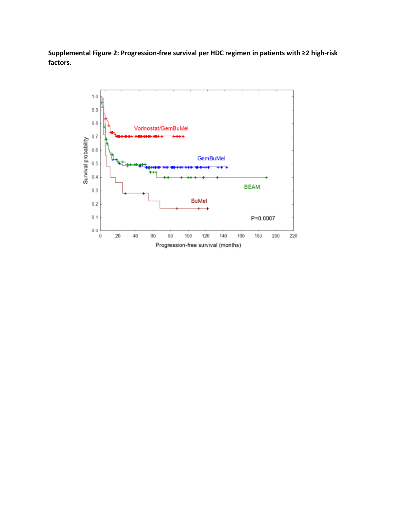**Supplemental Figure 2: Progression-free survival per HDC regimen in patients with ≥2 high-risk factors.** 

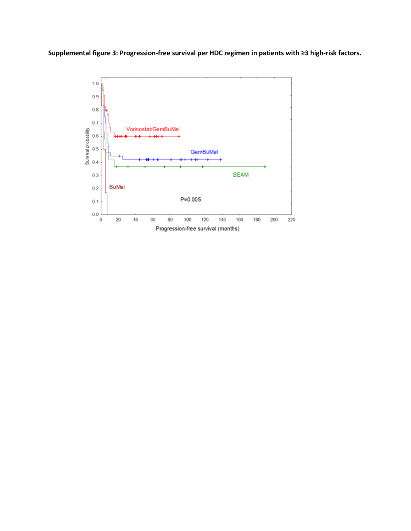**Supplemental figure 3: Progression-free survival per HDC regimen in patients with ≥3 high-risk factors.**